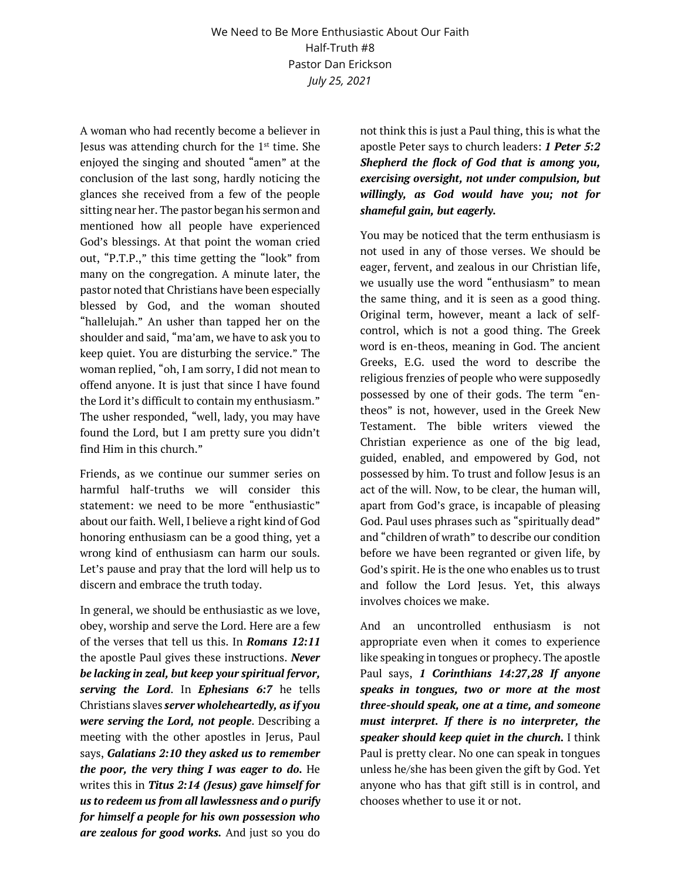A woman who had recently become a believer in Jesus was attending church for the  $1<sup>st</sup>$  time. She enjoyed the singing and shouted "amen" at the conclusion of the last song, hardly noticing the glances she received from a few of the people sitting near her. The pastor began his sermon and mentioned how all people have experienced God's blessings. At that point the woman cried out, "P.T.P.," this time getting the "look" from many on the congregation. A minute later, the pastor noted that Christians have been especially blessed by God, and the woman shouted "hallelujah." An usher than tapped her on the shoulder and said, "ma'am, we have to ask you to keep quiet. You are disturbing the service." The woman replied, "oh, I am sorry, I did not mean to offend anyone. It is just that since I have found the Lord it's difficult to contain my enthusiasm." The usher responded, "well, lady, you may have found the Lord, but I am pretty sure you didn't find Him in this church."

Friends, as we continue our summer series on harmful half-truths we will consider this statement: we need to be more "enthusiastic" about our faith. Well, I believe a right kind of God honoring enthusiasm can be a good thing, yet a wrong kind of enthusiasm can harm our souls. Let's pause and pray that the lord will help us to discern and embrace the truth today.

In general, we should be enthusiastic as we love, obey, worship and serve the Lord. Here are a few of the verses that tell us this. In *Romans 12:11* the apostle Paul gives these instructions. *Never be lacking in zeal, but keep your spiritual fervor, serving the Lord*. In *Ephesians 6:7* he tells Christians slaves *server wholeheartedly, as if you were serving the Lord, not people*. Describing a meeting with the other apostles in Jerus, Paul says, *Galatians 2:10 they asked us to remember the poor, the very thing I was eager to do.* He writes this in *Titus 2:14 (Jesus) gave himself for us to redeem us from all lawlessness and o purify for himself a people for his own possession who are zealous for good works.* And just so you do not think this is just a Paul thing, this is what the apostle Peter says to church leaders: *1 Peter 5:2 Shepherd the flock of God that is among you, exercising oversight, not under compulsion, but willingly, as God would have you; not for shameful gain, but eagerly.*

You may be noticed that the term enthusiasm is not used in any of those verses. We should be eager, fervent, and zealous in our Christian life, we usually use the word "enthusiasm" to mean the same thing, and it is seen as a good thing. Original term, however, meant a lack of selfcontrol, which is not a good thing. The Greek word is en-theos, meaning in God. The ancient Greeks, E.G. used the word to describe the religious frenzies of people who were supposedly possessed by one of their gods. The term "entheos" is not, however, used in the Greek New Testament. The bible writers viewed the Christian experience as one of the big lead, guided, enabled, and empowered by God, not possessed by him. To trust and follow Jesus is an act of the will. Now, to be clear, the human will, apart from God's grace, is incapable of pleasing God. Paul uses phrases such as "spiritually dead" and "children of wrath" to describe our condition before we have been regranted or given life, by God's spirit. He is the one who enables us to trust and follow the Lord Jesus. Yet, this always involves choices we make.

And an uncontrolled enthusiasm is not appropriate even when it comes to experience like speaking in tongues or prophecy. The apostle Paul says, *1 Corinthians 14:27,28 If anyone speaks in tongues, two or more at the most three-should speak, one at a time, and someone must interpret. If there is no interpreter, the speaker should keep quiet in the church.* I think Paul is pretty clear. No one can speak in tongues unless he/she has been given the gift by God. Yet anyone who has that gift still is in control, and chooses whether to use it or not.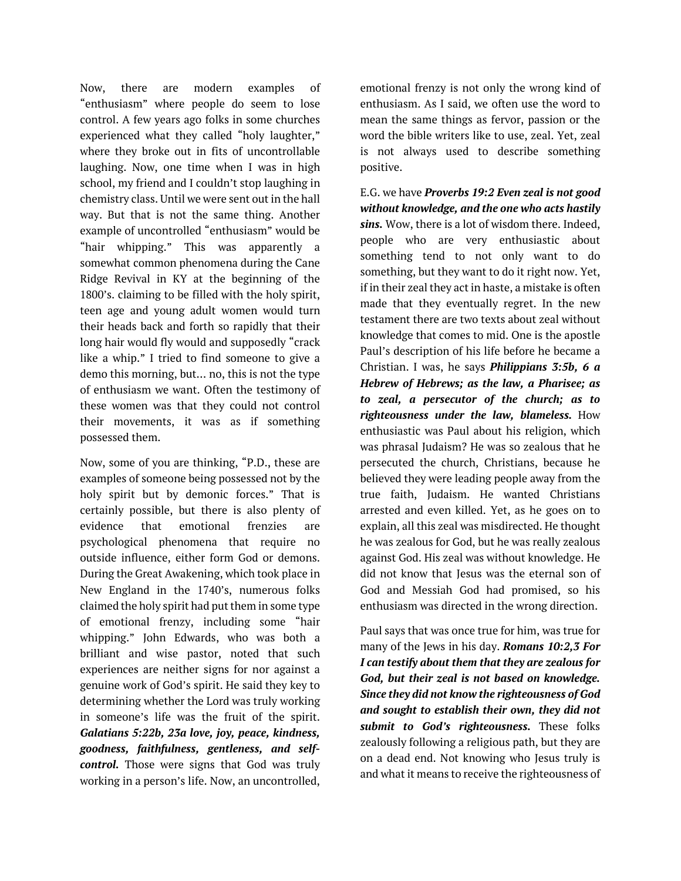Now, there are modern examples of "enthusiasm" where people do seem to lose control. A few years ago folks in some churches experienced what they called "holy laughter," where they broke out in fits of uncontrollable laughing. Now, one time when I was in high school, my friend and I couldn't stop laughing in chemistry class. Until we were sent out in the hall way. But that is not the same thing. Another example of uncontrolled "enthusiasm" would be "hair whipping." This was apparently a somewhat common phenomena during the Cane Ridge Revival in KY at the beginning of the 1800's. claiming to be filled with the holy spirit, teen age and young adult women would turn their heads back and forth so rapidly that their long hair would fly would and supposedly "crack like a whip." I tried to find someone to give a demo this morning, but… no, this is not the type of enthusiasm we want. Often the testimony of these women was that they could not control their movements, it was as if something possessed them.

Now, some of you are thinking, "P.D., these are examples of someone being possessed not by the holy spirit but by demonic forces." That is certainly possible, but there is also plenty of evidence that emotional frenzies are psychological phenomena that require no outside influence, either form God or demons. During the Great Awakening, which took place in New England in the 1740's, numerous folks claimed the holy spirit had put them in some type of emotional frenzy, including some "hair whipping." John Edwards, who was both a brilliant and wise pastor, noted that such experiences are neither signs for nor against a genuine work of God's spirit. He said they key to determining whether the Lord was truly working in someone's life was the fruit of the spirit. *Galatians 5:22b, 23a love, joy, peace, kindness, goodness, faithfulness, gentleness, and selfcontrol.* Those were signs that God was truly working in a person's life. Now, an uncontrolled,

emotional frenzy is not only the wrong kind of enthusiasm. As I said, we often use the word to mean the same things as fervor, passion or the word the bible writers like to use, zeal. Yet, zeal is not always used to describe something positive.

E.G. we have *Proverbs 19:2 Even zeal is not good without knowledge, and the one who acts hastily sins.* Wow, there is a lot of wisdom there. Indeed, people who are very enthusiastic about something tend to not only want to do something, but they want to do it right now. Yet, if in their zeal they act in haste, a mistake is often made that they eventually regret. In the new testament there are two texts about zeal without knowledge that comes to mid. One is the apostle Paul's description of his life before he became a Christian. I was, he says *Philippians 3:5b, 6 a Hebrew of Hebrews; as the law, a Pharisee; as to zeal, a persecutor of the church; as to righteousness under the law, blameless.* How enthusiastic was Paul about his religion, which was phrasal Judaism? He was so zealous that he persecuted the church, Christians, because he believed they were leading people away from the true faith, Judaism. He wanted Christians arrested and even killed. Yet, as he goes on to explain, all this zeal was misdirected. He thought he was zealous for God, but he was really zealous against God. His zeal was without knowledge. He did not know that Jesus was the eternal son of God and Messiah God had promised, so his enthusiasm was directed in the wrong direction.

Paul says that was once true for him, was true for many of the Jews in his day. *Romans 10:2,3 For I can testify about them that they are zealous for God, but their zeal is not based on knowledge. Since they did not know the righteousness of God and sought to establish their own, they did not submit to God's righteousness.* These folks zealously following a religious path, but they are on a dead end. Not knowing who Jesus truly is and what it means to receive the righteousness of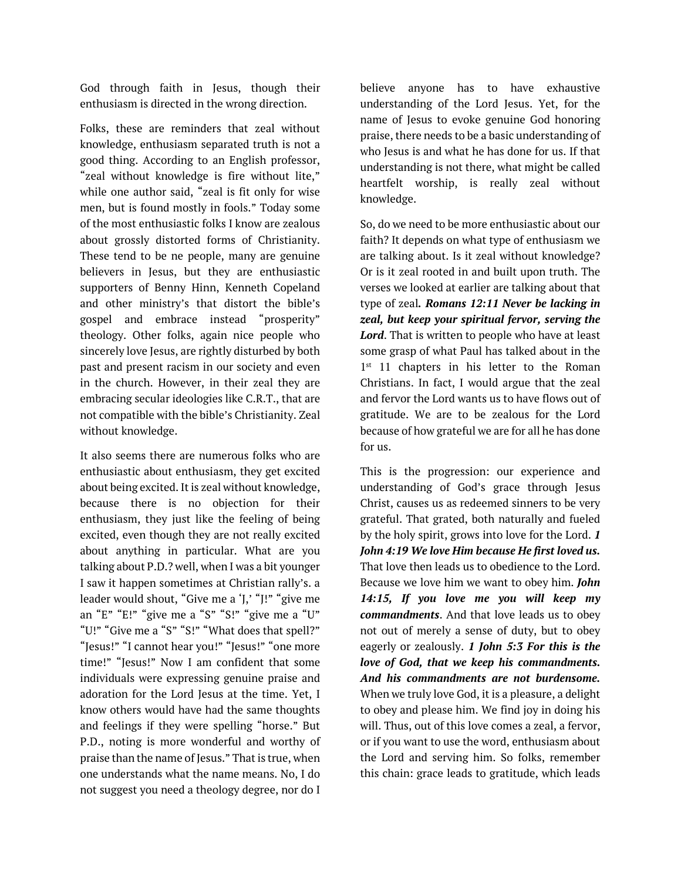God through faith in Jesus, though their enthusiasm is directed in the wrong direction.

Folks, these are reminders that zeal without knowledge, enthusiasm separated truth is not a good thing. According to an English professor, "zeal without knowledge is fire without lite," while one author said, "zeal is fit only for wise men, but is found mostly in fools." Today some of the most enthusiastic folks I know are zealous about grossly distorted forms of Christianity. These tend to be ne people, many are genuine believers in Jesus, but they are enthusiastic supporters of Benny Hinn, Kenneth Copeland and other ministry's that distort the bible's gospel and embrace instead "prosperity" theology. Other folks, again nice people who sincerely love Jesus, are rightly disturbed by both past and present racism in our society and even in the church. However, in their zeal they are embracing secular ideologies like C.R.T., that are not compatible with the bible's Christianity. Zeal without knowledge.

It also seems there are numerous folks who are enthusiastic about enthusiasm, they get excited about being excited. It is zeal without knowledge, because there is no objection for their enthusiasm, they just like the feeling of being excited, even though they are not really excited about anything in particular. What are you talking about P.D.? well, when I was a bit younger I saw it happen sometimes at Christian rally's. a leader would shout, "Give me a 'J,' "J!" "give me an "E" "E!" "give me a "S" "S!" "give me a "U" "U!" "Give me a "S" "S!" "What does that spell?" "Jesus!" "I cannot hear you!" "Jesus!" "one more time!" "Jesus!" Now I am confident that some individuals were expressing genuine praise and adoration for the Lord Jesus at the time. Yet, I know others would have had the same thoughts and feelings if they were spelling "horse." But P.D., noting is more wonderful and worthy of praise than the name of Jesus." That is true, when one understands what the name means. No, I do not suggest you need a theology degree, nor do I

believe anyone has to have exhaustive understanding of the Lord Jesus. Yet, for the name of Jesus to evoke genuine God honoring praise, there needs to be a basic understanding of who Jesus is and what he has done for us. If that understanding is not there, what might be called heartfelt worship, is really zeal without knowledge.

So, do we need to be more enthusiastic about our faith? It depends on what type of enthusiasm we are talking about. Is it zeal without knowledge? Or is it zeal rooted in and built upon truth. The verses we looked at earlier are talking about that type of zeal*. Romans 12:11 Never be lacking in zeal, but keep your spiritual fervor, serving the Lord*. That is written to people who have at least some grasp of what Paul has talked about in the 1<sup>st</sup> 11 chapters in his letter to the Roman Christians. In fact, I would argue that the zeal and fervor the Lord wants us to have flows out of gratitude. We are to be zealous for the Lord because of how grateful we are for all he has done for us.

This is the progression: our experience and understanding of God's grace through Jesus Christ, causes us as redeemed sinners to be very grateful. That grated, both naturally and fueled by the holy spirit, grows into love for the Lord. *1 John 4:19 We love Him because He first loved us.* That love then leads us to obedience to the Lord. Because we love him we want to obey him. *John 14:15, If you love me you will keep my commandments*. And that love leads us to obey not out of merely a sense of duty, but to obey eagerly or zealously. *1 John 5:3 For this is the love of God, that we keep his commandments. And his commandments are not burdensome.* When we truly love God, it is a pleasure, a delight to obey and please him. We find joy in doing his will. Thus, out of this love comes a zeal, a fervor, or if you want to use the word, enthusiasm about the Lord and serving him. So folks, remember this chain: grace leads to gratitude, which leads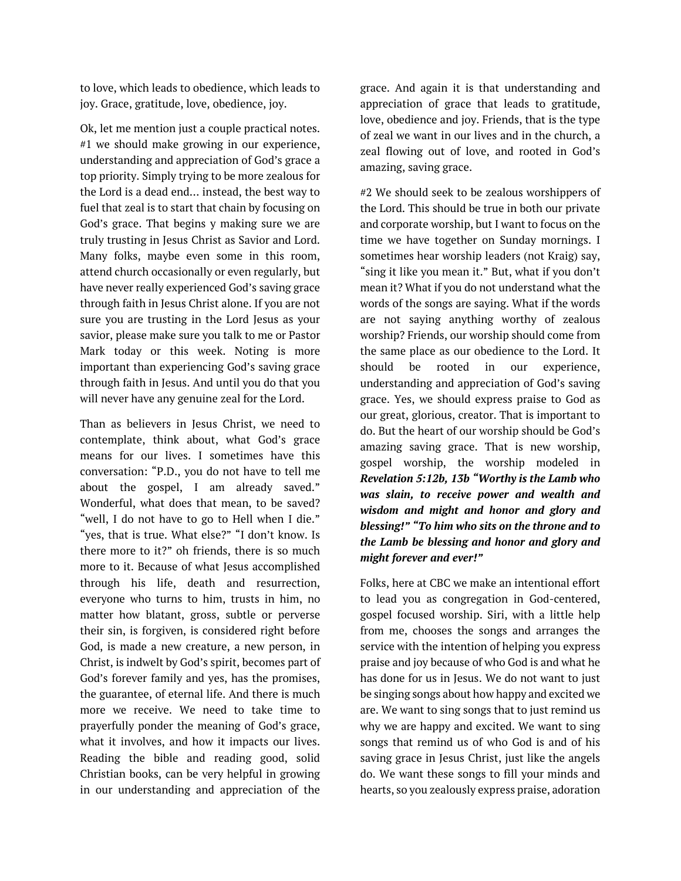to love, which leads to obedience, which leads to joy. Grace, gratitude, love, obedience, joy.

Ok, let me mention just a couple practical notes. #1 we should make growing in our experience, understanding and appreciation of God's grace a top priority. Simply trying to be more zealous for the Lord is a dead end… instead, the best way to fuel that zeal is to start that chain by focusing on God's grace. That begins y making sure we are truly trusting in Jesus Christ as Savior and Lord. Many folks, maybe even some in this room, attend church occasionally or even regularly, but have never really experienced God's saving grace through faith in Jesus Christ alone. If you are not sure you are trusting in the Lord Jesus as your savior, please make sure you talk to me or Pastor Mark today or this week. Noting is more important than experiencing God's saving grace through faith in Jesus. And until you do that you will never have any genuine zeal for the Lord.

Than as believers in Jesus Christ, we need to contemplate, think about, what God's grace means for our lives. I sometimes have this conversation: "P.D., you do not have to tell me about the gospel, I am already saved." Wonderful, what does that mean, to be saved? "well, I do not have to go to Hell when I die." "yes, that is true. What else?" "I don't know. Is there more to it?" oh friends, there is so much more to it. Because of what Jesus accomplished through his life, death and resurrection, everyone who turns to him, trusts in him, no matter how blatant, gross, subtle or perverse their sin, is forgiven, is considered right before God, is made a new creature, a new person, in Christ, is indwelt by God's spirit, becomes part of God's forever family and yes, has the promises, the guarantee, of eternal life. And there is much more we receive. We need to take time to prayerfully ponder the meaning of God's grace, what it involves, and how it impacts our lives. Reading the bible and reading good, solid Christian books, can be very helpful in growing in our understanding and appreciation of the

grace. And again it is that understanding and appreciation of grace that leads to gratitude, love, obedience and joy. Friends, that is the type of zeal we want in our lives and in the church, a zeal flowing out of love, and rooted in God's amazing, saving grace.

#2 We should seek to be zealous worshippers of the Lord. This should be true in both our private and corporate worship, but I want to focus on the time we have together on Sunday mornings. I sometimes hear worship leaders (not Kraig) say, "sing it like you mean it." But, what if you don't mean it? What if you do not understand what the words of the songs are saying. What if the words are not saying anything worthy of zealous worship? Friends, our worship should come from the same place as our obedience to the Lord. It should be rooted in our experience, understanding and appreciation of God's saving grace. Yes, we should express praise to God as our great, glorious, creator. That is important to do. But the heart of our worship should be God's amazing saving grace. That is new worship, gospel worship, the worship modeled in *Revelation 5:12b, 13b "Worthy is the Lamb who was slain, to receive power and wealth and wisdom and might and honor and glory and blessing!" "To him who sits on the throne and to the Lamb be blessing and honor and glory and might forever and ever!"*

Folks, here at CBC we make an intentional effort to lead you as congregation in God-centered, gospel focused worship. Siri, with a little help from me, chooses the songs and arranges the service with the intention of helping you express praise and joy because of who God is and what he has done for us in Jesus. We do not want to just be singing songs about how happy and excited we are. We want to sing songs that to just remind us why we are happy and excited. We want to sing songs that remind us of who God is and of his saving grace in Jesus Christ, just like the angels do. We want these songs to fill your minds and hearts, so you zealously express praise, adoration